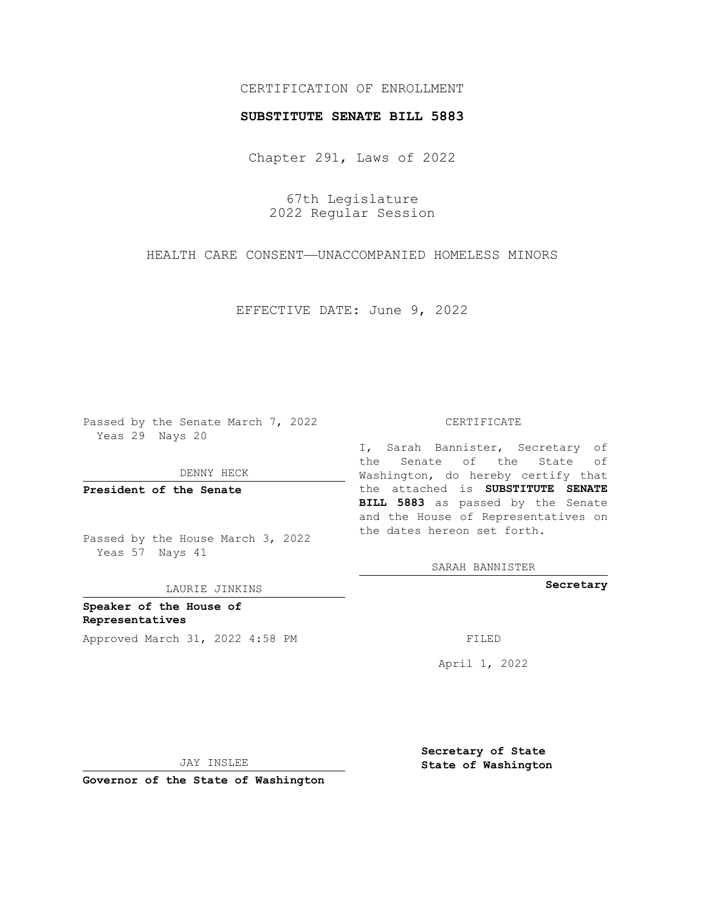## CERTIFICATION OF ENROLLMENT

### **SUBSTITUTE SENATE BILL 5883**

Chapter 291, Laws of 2022

67th Legislature 2022 Regular Session

HEALTH CARE CONSENT—UNACCOMPANIED HOMELESS MINORS

EFFECTIVE DATE: June 9, 2022

Passed by the Senate March 7, 2022 Yeas 29 Nays 20

DENNY HECK

**President of the Senate**

Passed by the House March 3, 2022 Yeas 57 Nays 41

LAURIE JINKINS

**Speaker of the House of Representatives** Approved March 31, 2022 4:58 PM FILED

#### CERTIFICATE

I, Sarah Bannister, Secretary of the Senate of the State of Washington, do hereby certify that the attached is **SUBSTITUTE SENATE BILL 5883** as passed by the Senate and the House of Representatives on the dates hereon set forth.

SARAH BANNISTER

**Secretary**

April 1, 2022

JAY INSLEE

**Governor of the State of Washington**

**Secretary of State State of Washington**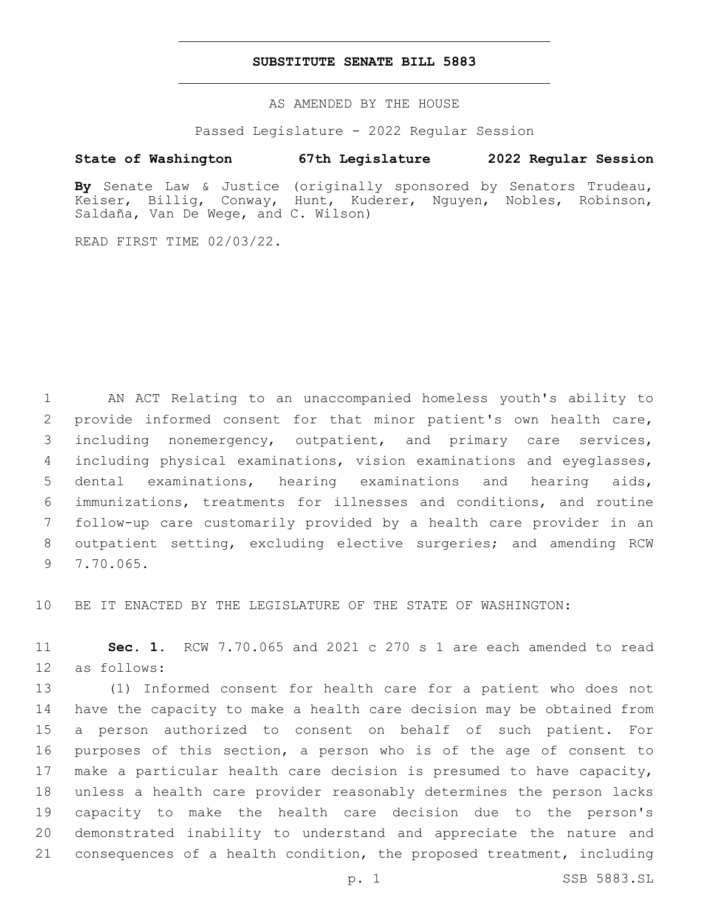### **SUBSTITUTE SENATE BILL 5883**

AS AMENDED BY THE HOUSE

Passed Legislature - 2022 Regular Session

# **State of Washington 67th Legislature 2022 Regular Session**

**By** Senate Law & Justice (originally sponsored by Senators Trudeau, Keiser, Billig, Conway, Hunt, Kuderer, Nguyen, Nobles, Robinson, Saldaña, Van De Wege, and C. Wilson)

READ FIRST TIME 02/03/22.

 AN ACT Relating to an unaccompanied homeless youth's ability to provide informed consent for that minor patient's own health care, including nonemergency, outpatient, and primary care services, including physical examinations, vision examinations and eyeglasses, dental examinations, hearing examinations and hearing aids, immunizations, treatments for illnesses and conditions, and routine follow-up care customarily provided by a health care provider in an outpatient setting, excluding elective surgeries; and amending RCW 9 7.70.065.

BE IT ENACTED BY THE LEGISLATURE OF THE STATE OF WASHINGTON:

 **Sec. 1.** RCW 7.70.065 and 2021 c 270 s 1 are each amended to read 12 as follows:

 (1) Informed consent for health care for a patient who does not have the capacity to make a health care decision may be obtained from a person authorized to consent on behalf of such patient. For purposes of this section, a person who is of the age of consent to make a particular health care decision is presumed to have capacity, unless a health care provider reasonably determines the person lacks capacity to make the health care decision due to the person's demonstrated inability to understand and appreciate the nature and consequences of a health condition, the proposed treatment, including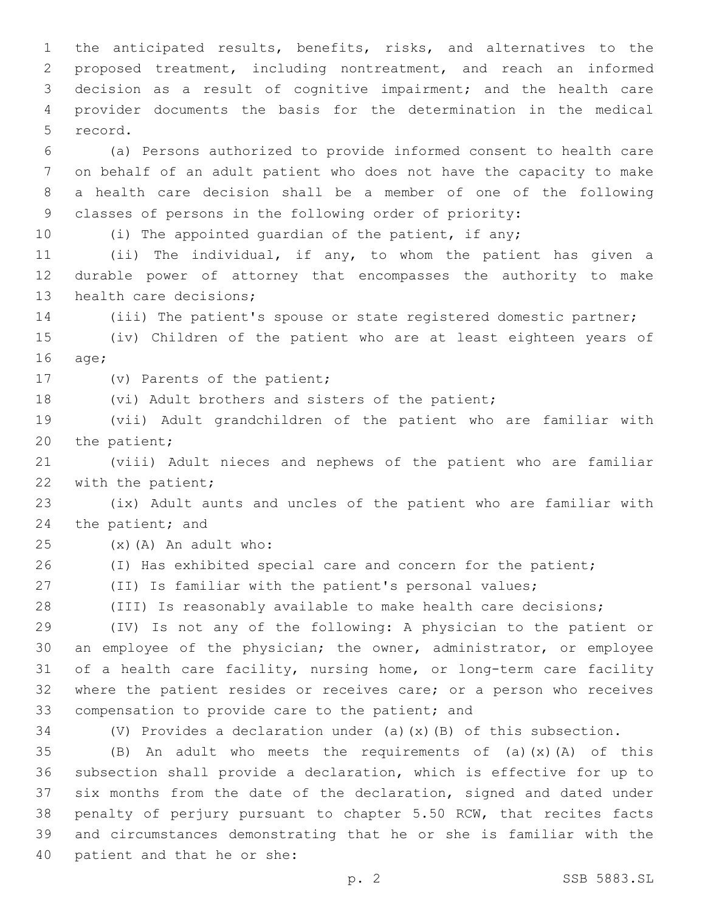the anticipated results, benefits, risks, and alternatives to the proposed treatment, including nontreatment, and reach an informed decision as a result of cognitive impairment; and the health care provider documents the basis for the determination in the medical 5 record.

 (a) Persons authorized to provide informed consent to health care on behalf of an adult patient who does not have the capacity to make a health care decision shall be a member of one of the following classes of persons in the following order of priority:

10 (i) The appointed quardian of the patient, if any;

 (ii) The individual, if any, to whom the patient has given a durable power of attorney that encompasses the authority to make 13 health care decisions;

(iii) The patient's spouse or state registered domestic partner;

 (iv) Children of the patient who are at least eighteen years of 16 age;

17 (v) Parents of the patient;

18 (vi) Adult brothers and sisters of the patient;

 (vii) Adult grandchildren of the patient who are familiar with 20 the patient;

 (viii) Adult nieces and nephews of the patient who are familiar 22 with the patient;

 (ix) Adult aunts and uncles of the patient who are familiar with 24 the patient; and

 $(25)$   $(x)$   $(A)$  An adult who:

26 (I) Has exhibited special care and concern for the patient;

(II) Is familiar with the patient's personal values;

(III) Is reasonably available to make health care decisions;

 (IV) Is not any of the following: A physician to the patient or an employee of the physician; the owner, administrator, or employee of a health care facility, nursing home, or long-term care facility where the patient resides or receives care; or a person who receives 33 compensation to provide care to the patient; and

(V) Provides a declaration under (a)(x)(B) of this subsection.

 $(B)$  An adult who meets the requirements of (a)(x)(A) of this subsection shall provide a declaration, which is effective for up to six months from the date of the declaration, signed and dated under penalty of perjury pursuant to chapter 5.50 RCW, that recites facts and circumstances demonstrating that he or she is familiar with the 40 patient and that he or she: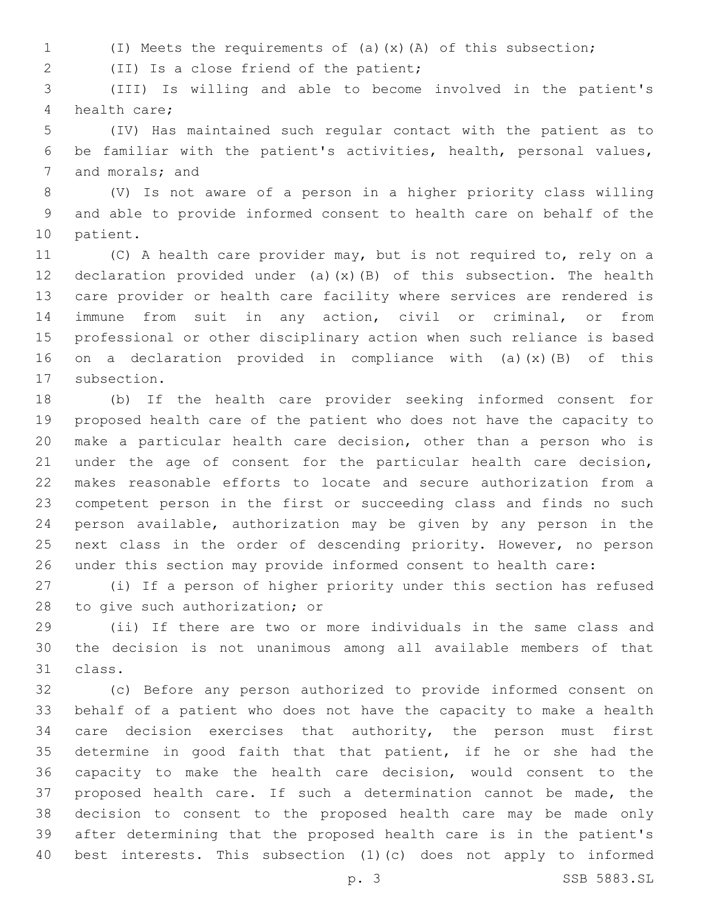(I) Meets the requirements of (a)(x)(A) of this subsection;

(II) Is a close friend of the patient;2

 (III) Is willing and able to become involved in the patient's 4 health care:

 (IV) Has maintained such regular contact with the patient as to be familiar with the patient's activities, health, personal values, 7 and morals; and

 (V) Is not aware of a person in a higher priority class willing and able to provide informed consent to health care on behalf of the 10 patient.

 (C) A health care provider may, but is not required to, rely on a declaration provided under (a)(x)(B) of this subsection. The health care provider or health care facility where services are rendered is immune from suit in any action, civil or criminal, or from professional or other disciplinary action when such reliance is based on a declaration provided in compliance with (a)(x)(B) of this 17 subsection.

 (b) If the health care provider seeking informed consent for proposed health care of the patient who does not have the capacity to make a particular health care decision, other than a person who is under the age of consent for the particular health care decision, makes reasonable efforts to locate and secure authorization from a competent person in the first or succeeding class and finds no such person available, authorization may be given by any person in the next class in the order of descending priority. However, no person under this section may provide informed consent to health care:

 (i) If a person of higher priority under this section has refused 28 to give such authorization; or

 (ii) If there are two or more individuals in the same class and the decision is not unanimous among all available members of that 31 class.

 (c) Before any person authorized to provide informed consent on behalf of a patient who does not have the capacity to make a health 34 care decision exercises that authority, the person must first determine in good faith that that patient, if he or she had the capacity to make the health care decision, would consent to the proposed health care. If such a determination cannot be made, the decision to consent to the proposed health care may be made only after determining that the proposed health care is in the patient's best interests. This subsection (1)(c) does not apply to informed

p. 3 SSB 5883.SL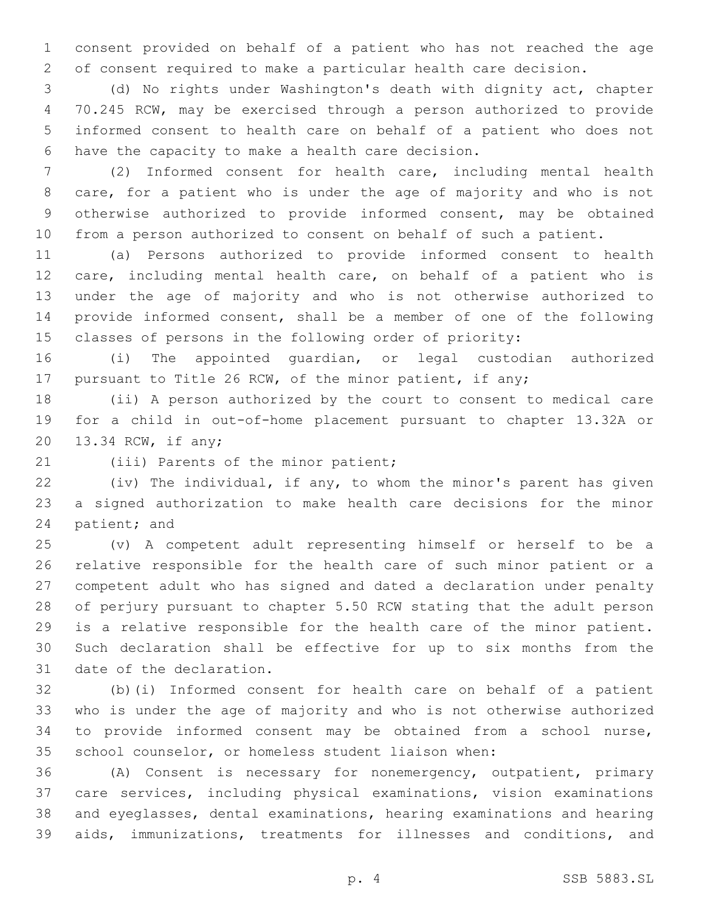consent provided on behalf of a patient who has not reached the age of consent required to make a particular health care decision.

 (d) No rights under Washington's death with dignity act, chapter 70.245 RCW, may be exercised through a person authorized to provide informed consent to health care on behalf of a patient who does not 6 have the capacity to make a health care decision.

 (2) Informed consent for health care, including mental health care, for a patient who is under the age of majority and who is not otherwise authorized to provide informed consent, may be obtained from a person authorized to consent on behalf of such a patient.

 (a) Persons authorized to provide informed consent to health care, including mental health care, on behalf of a patient who is under the age of majority and who is not otherwise authorized to provide informed consent, shall be a member of one of the following classes of persons in the following order of priority:

 (i) The appointed guardian, or legal custodian authorized pursuant to Title 26 RCW, of the minor patient, if any;

 (ii) A person authorized by the court to consent to medical care for a child in out-of-home placement pursuant to chapter 13.32A or 20 13.34 RCW, if any;

21 (iii) Parents of the minor patient;

 (iv) The individual, if any, to whom the minor's parent has given a signed authorization to make health care decisions for the minor 24 patient; and

 (v) A competent adult representing himself or herself to be a relative responsible for the health care of such minor patient or a competent adult who has signed and dated a declaration under penalty of perjury pursuant to chapter 5.50 RCW stating that the adult person is a relative responsible for the health care of the minor patient. Such declaration shall be effective for up to six months from the 31 date of the declaration.

 (b)(i) Informed consent for health care on behalf of a patient who is under the age of majority and who is not otherwise authorized to provide informed consent may be obtained from a school nurse, school counselor, or homeless student liaison when:

 (A) Consent is necessary for nonemergency, outpatient, primary care services, including physical examinations, vision examinations and eyeglasses, dental examinations, hearing examinations and hearing aids, immunizations, treatments for illnesses and conditions, and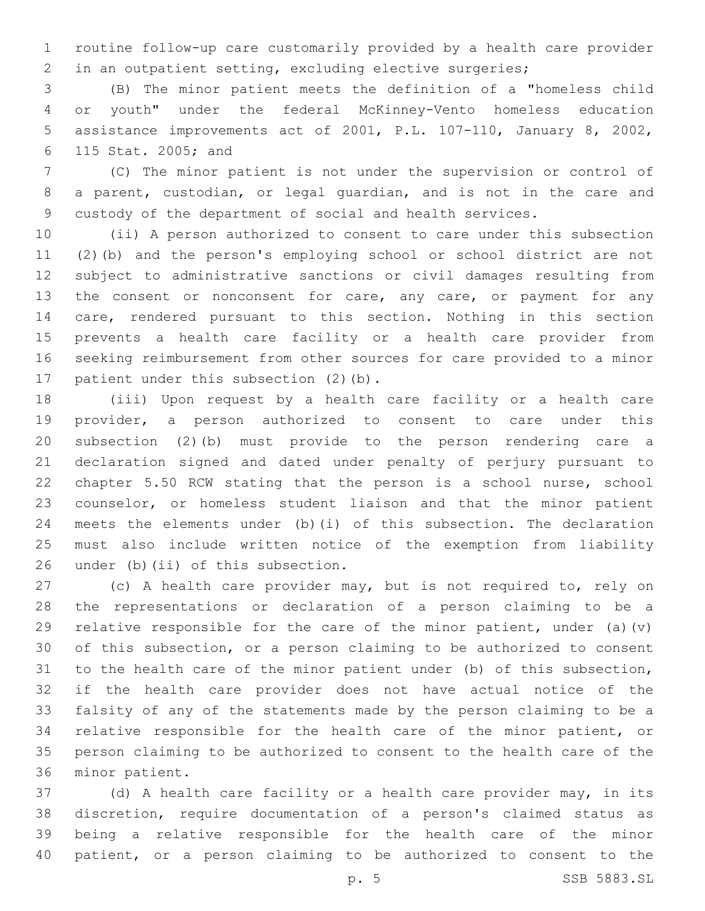routine follow-up care customarily provided by a health care provider in an outpatient setting, excluding elective surgeries;

 (B) The minor patient meets the definition of a "homeless child or youth" under the federal McKinney-Vento homeless education assistance improvements act of 2001, P.L. 107-110, January 8, 2002, 115 Stat. 2005; and6

 (C) The minor patient is not under the supervision or control of a parent, custodian, or legal guardian, and is not in the care and custody of the department of social and health services.

 (ii) A person authorized to consent to care under this subsection (2)(b) and the person's employing school or school district are not subject to administrative sanctions or civil damages resulting from 13 the consent or nonconsent for care, any care, or payment for any care, rendered pursuant to this section. Nothing in this section prevents a health care facility or a health care provider from seeking reimbursement from other sources for care provided to a minor 17 patient under this subsection (2)(b).

 (iii) Upon request by a health care facility or a health care provider, a person authorized to consent to care under this subsection (2)(b) must provide to the person rendering care a declaration signed and dated under penalty of perjury pursuant to chapter 5.50 RCW stating that the person is a school nurse, school counselor, or homeless student liaison and that the minor patient meets the elements under (b)(i) of this subsection. The declaration must also include written notice of the exemption from liability 26 under (b)  $(ii)$  of this subsection.

 (c) A health care provider may, but is not required to, rely on the representations or declaration of a person claiming to be a 29 relative responsible for the care of the minor patient, under (a)(v) of this subsection, or a person claiming to be authorized to consent to the health care of the minor patient under (b) of this subsection, if the health care provider does not have actual notice of the falsity of any of the statements made by the person claiming to be a relative responsible for the health care of the minor patient, or person claiming to be authorized to consent to the health care of the 36 minor patient.

 (d) A health care facility or a health care provider may, in its discretion, require documentation of a person's claimed status as being a relative responsible for the health care of the minor patient, or a person claiming to be authorized to consent to the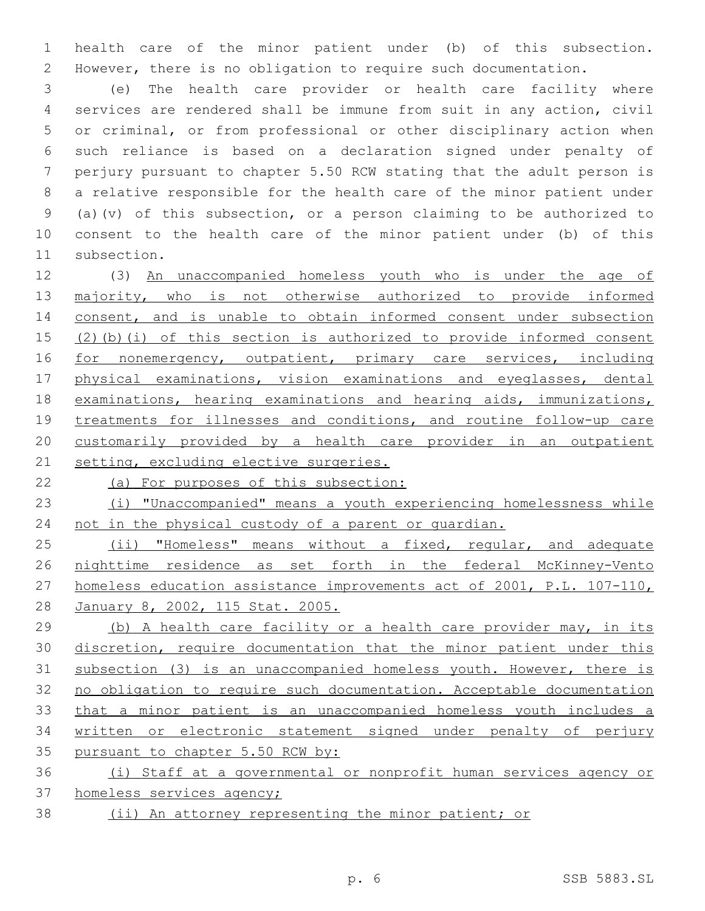health care of the minor patient under (b) of this subsection. However, there is no obligation to require such documentation.

 (e) The health care provider or health care facility where services are rendered shall be immune from suit in any action, civil or criminal, or from professional or other disciplinary action when such reliance is based on a declaration signed under penalty of perjury pursuant to chapter 5.50 RCW stating that the adult person is a relative responsible for the health care of the minor patient under (a)(v) of this subsection, or a person claiming to be authorized to consent to the health care of the minor patient under (b) of this 11 subsection.

 (3) An unaccompanied homeless youth who is under the age of 13 majority, who is not otherwise authorized to provide informed 14 consent, and is unable to obtain informed consent under subsection (2)(b)(i) of this section is authorized to provide informed consent 16 for nonemergency, outpatient, primary care services, including physical examinations, vision examinations and eyeglasses, dental examinations, hearing examinations and hearing aids, immunizations, treatments for illnesses and conditions, and routine follow-up care customarily provided by a health care provider in an outpatient 21 setting, excluding elective surgeries.

(a) For purposes of this subsection:

 (i) "Unaccompanied" means a youth experiencing homelessness while 24 not in the physical custody of a parent or quardian.

25 (ii) "Homeless" means without a fixed, regular, and adequate nighttime residence as set forth in the federal McKinney-Vento homeless education assistance improvements act of 2001, P.L. 107-110, January 8, 2002, 115 Stat. 2005.

 (b) A health care facility or a health care provider may, in its discretion, require documentation that the minor patient under this subsection (3) is an unaccompanied homeless youth. However, there is no obligation to require such documentation. Acceptable documentation that a minor patient is an unaccompanied homeless youth includes a written or electronic statement signed under penalty of perjury 35 pursuant to chapter 5.50 RCW by:

 (i) Staff at a governmental or nonprofit human services agency or homeless services agency;

(ii) An attorney representing the minor patient; or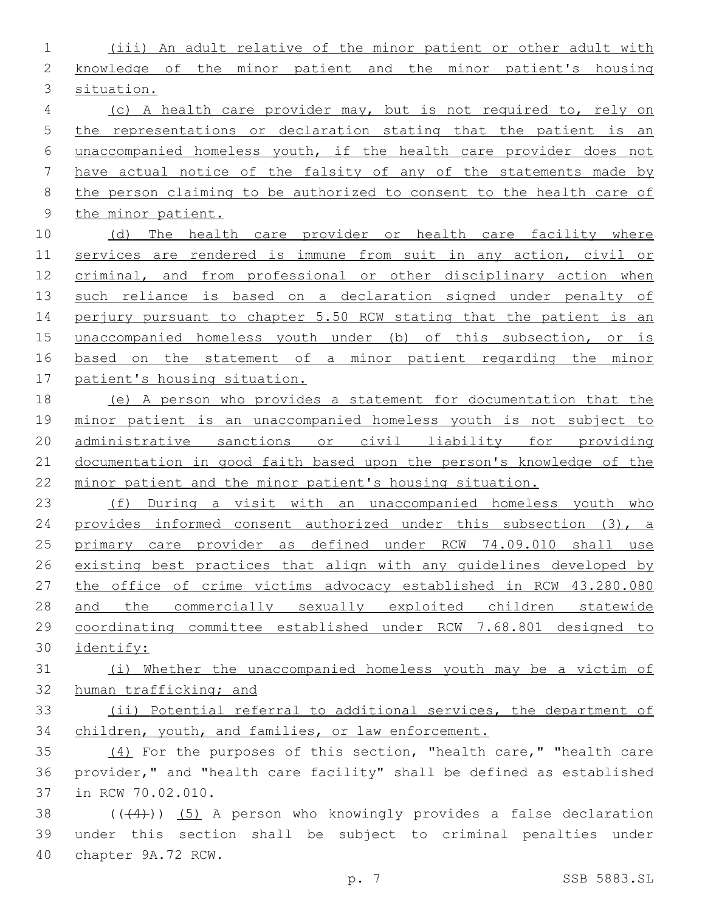(iii) An adult relative of the minor patient or other adult with knowledge of the minor patient and the minor patient's housing situation. (c) A health care provider may, but is not required to, rely on the representations or declaration stating that the patient is an

 unaccompanied homeless youth, if the health care provider does not have actual notice of the falsity of any of the statements made by the person claiming to be authorized to consent to the health care of the minor patient.

10 (d) The health care provider or health care facility where services are rendered is immune from suit in any action, civil or criminal, and from professional or other disciplinary action when such reliance is based on a declaration signed under penalty of 14 perjury pursuant to chapter 5.50 RCW stating that the patient is an unaccompanied homeless youth under (b) of this subsection, or is based on the statement of a minor patient regarding the minor patient's housing situation.

 (e) A person who provides a statement for documentation that the minor patient is an unaccompanied homeless youth is not subject to administrative sanctions or civil liability for providing documentation in good faith based upon the person's knowledge of the minor patient and the minor patient's housing situation.

 (f) During a visit with an unaccompanied homeless youth who provides informed consent authorized under this subsection (3), a primary care provider as defined under RCW 74.09.010 shall use existing best practices that align with any guidelines developed by the office of crime victims advocacy established in RCW 43.280.080 and the commercially sexually exploited children statewide coordinating committee established under RCW 7.68.801 designed to identify:

 (i) Whether the unaccompanied homeless youth may be a victim of human trafficking; and

 (ii) Potential referral to additional services, the department of children, youth, and families, or law enforcement.

 (4) For the purposes of this section, "health care," "health care provider," and "health care facility" shall be defined as established 37 in RCW 70.02.010.

38  $((+4))$   $(5)$  A person who knowingly provides a false declaration under this section shall be subject to criminal penalties under 40 chapter 9A.72 RCW.